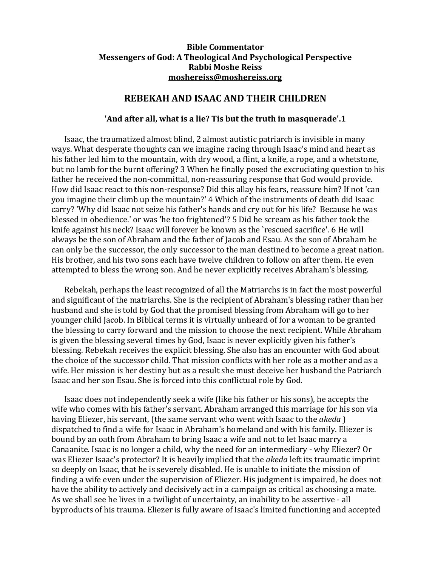## **[Bible Commentator](http://www.moshereiss.org/index.htm) [Messengers of God: A Theological And Psychological Perspective](http://www.moshereiss.org/messenger.htm) Rabbi Moshe Reiss [moshereiss@moshereiss.org](mailto:moshereiss@moshereiss.org)**

## **REBEKAH AND ISAAC AND THEIR CHILDREN**

## **'And after all, what is a lie? Tis but the truth in masquerade'.1**

Isaac, the traumatized almost blind, 2 almost autistic patriarch is invisible in many ways. What desperate thoughts can we imagine racing through Isaac's mind and heart as his father led him to the mountain, with dry wood, a flint, a knife, a rope, and a whetstone, but no lamb for the burnt offering? 3 When he finally posed the excruciating question to his father he received the non-committal, non-reassuring response that God would provide. How did Isaac react to this non-response? Did this allay his fears, reassure him? If not 'can you imagine their climb up the mountain?' 4 Which of the instruments of death did Isaac carry? 'Why did Isaac not seize his father's hands and cry out for his life? Because he was blessed in obedience.' or was 'he too frightened'? 5 Did he scream as his father took the knife against his neck? Isaac will forever be known as the `rescued sacrifice'. 6 He will always be the son of Abraham and the father of Jacob and Esau. As the son of Abraham he can only be the successor, the only successor to the man destined to become a great nation. His brother, and his two sons each have twelve children to follow on after them. He even attempted to bless the wrong son. And he never explicitly receives Abraham's blessing.

Rebekah, perhaps the least recognized of all the Matriarchs is in fact the most powerful and significant of the matriarchs. She is the recipient of Abraham's blessing rather than her husband and she is told by God that the promised blessing from Abraham will go to her younger child Jacob. In Biblical terms it is virtually unheard of for a woman to be granted the blessing to carry forward and the mission to choose the next recipient. While Abraham is given the blessing several times by God, Isaac is never explicitly given his father's blessing. Rebekah receives the explicit blessing. She also has an encounter with God about the choice of the successor child. That mission conflicts with her role as a mother and as a wife. Her mission is her destiny but as a result she must deceive her husband the Patriarch Isaac and her son Esau. She is forced into this conflictual role by God.

Isaac does not independently seek a wife (like his father or his sons), he accepts the wife who comes with his father's servant. Abraham arranged this marriage for his son via having Eliezer, his servant, (the same servant who went with Isaac to the *akeda* ) dispatched to find a wife for Isaac in Abraham's homeland and with his family. Eliezer is bound by an oath from Abraham to bring Isaac a wife and not to let Isaac marry a Canaanite. Isaac is no longer a child, why the need for an intermediary - why Eliezer? Or was Eliezer Isaac's protector? It is heavily implied that the *akeda* left its traumatic imprint so deeply on Isaac, that he is severely disabled. He is unable to initiate the mission of finding a wife even under the supervision of Eliezer. His judgment is impaired, he does not have the ability to actively and decisively act in a campaign as critical as choosing a mate. As we shall see he lives in a twilight of uncertainty, an inability to be assertive - all byproducts of his trauma. Eliezer is fully aware of Isaac's limited functioning and accepted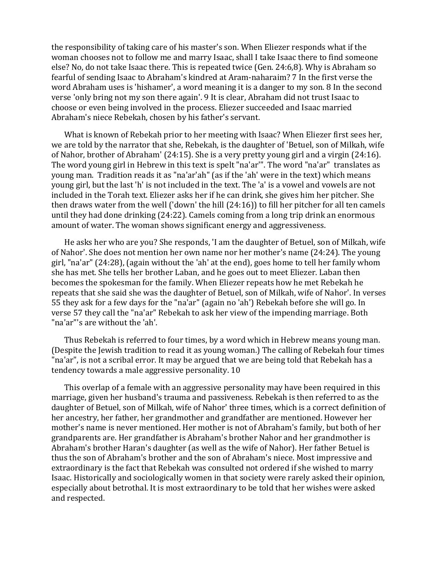the responsibility of taking care of his master's son. When Eliezer responds what if the woman chooses not to follow me and marry Isaac, shall I take Isaac there to find someone else? No, do not take Isaac there. This is repeated twice (Gen. 24:6,8). Why is Abraham so fearful of sending Isaac to Abraham's kindred at Aram-naharaim? 7 In the first verse the word Abraham uses is 'hishamer', a word meaning it is a danger to my son. 8 In the second verse 'only bring not my son there again'. 9 It is clear, Abraham did not trust Isaac to choose or even being involved in the process. Eliezer succeeded and Isaac married Abraham's niece Rebekah, chosen by his father's servant.

What is known of Rebekah prior to her meeting with Isaac? When Eliezer first sees her, we are told by the narrator that she, Rebekah, is the daughter of 'Betuel, son of Milkah, wife of Nahor, brother of Abraham' (24:15). She is a very pretty young girl and a virgin (24:16). The word young girl in Hebrew in this text is spelt "na'ar'". The word "na'ar" translates as young man. Tradition reads it as "na'ar'ah" (as if the 'ah' were in the text) which means young girl, but the last 'h' is not included in the text. The 'a' is a vowel and vowels are not included in the Torah text. Eliezer asks her if he can drink, she gives him her pitcher. She then draws water from the well ('down' the hill (24:16)) to fill her pitcher for all ten camels until they had done drinking (24:22). Camels coming from a long trip drink an enormous amount of water. The woman shows significant energy and aggressiveness.

He asks her who are you? She responds, 'I am the daughter of Betuel, son of Milkah, wife of Nahor'. She does not mention her own name nor her mother's name (24:24). The young girl, "na'ar" (24:28), (again without the 'ah' at the end), goes home to tell her family whom she has met. She tells her brother Laban, and he goes out to meet Eliezer. Laban then becomes the spokesman for the family. When Eliezer repeats how he met Rebekah he repeats that she said she was the daughter of Betuel, son of Milkah, wife of Nahor'. In verses 55 they ask for a few days for the "na'ar" (again no 'ah') Rebekah before she will go. In verse 57 they call the "na'ar" Rebekah to ask her view of the impending marriage. Both "na'ar"'s are without the 'ah'.

Thus Rebekah is referred to four times, by a word which in Hebrew means young man. (Despite the Jewish tradition to read it as young woman.) The calling of Rebekah four times "na'ar", is not a scribal error. It may be argued that we are being told that Rebekah has a tendency towards a male aggressive personality. 10

This overlap of a female with an aggressive personality may have been required in this marriage, given her husband's trauma and passiveness. Rebekah is then referred to as the daughter of Betuel, son of Milkah, wife of Nahor' three times, which is a correct definition of her ancestry, her father, her grandmother and grandfather are mentioned. However her mother's name is never mentioned. Her mother is not of Abraham's family, but both of her grandparents are. Her grandfather is Abraham's brother Nahor and her grandmother is Abraham's brother Haran's daughter (as well as the wife of Nahor). Her father Betuel is thus the son of Abraham's brother and the son of Abraham's niece. Most impressive and extraordinary is the fact that Rebekah was consulted not ordered if she wished to marry Isaac. Historically and sociologically women in that society were rarely asked their opinion, especially about betrothal. It is most extraordinary to be told that her wishes were asked and respected.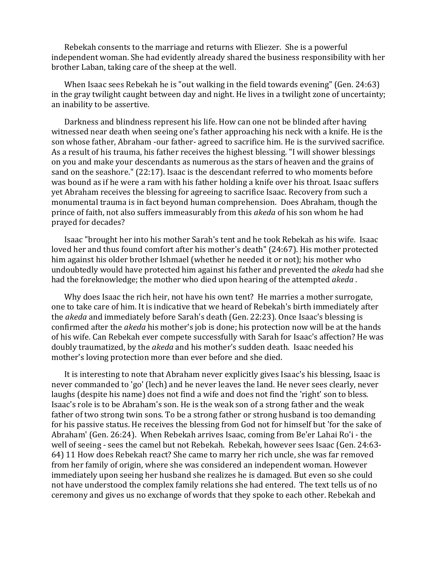Rebekah consents to the marriage and returns with Eliezer. She is a powerful independent woman. She had evidently already shared the business responsibility with her brother Laban, taking care of the sheep at the well.

When Isaac sees Rebekah he is "out walking in the field towards evening" (Gen. 24:63) in the gray twilight caught between day and night. He lives in a twilight zone of uncertainty; an inability to be assertive.

Darkness and blindness represent his life. How can one not be blinded after having witnessed near death when seeing one's father approaching his neck with a knife. He is the son whose father, Abraham -our father- agreed to sacrifice him. He is the survived sacrifice. As a result of his trauma, his father receives the highest blessing. "I will shower blessings on you and make your descendants as numerous as the stars of heaven and the grains of sand on the seashore." (22:17). Isaac is the descendant referred to who moments before was bound as if he were a ram with his father holding a knife over his throat. Isaac suffers yet Abraham receives the blessing for agreeing to sacrifice Isaac. Recovery from such a monumental trauma is in fact beyond human comprehension. Does Abraham, though the prince of faith, not also suffers immeasurably from this *akeda* of his son whom he had prayed for decades?

Isaac "brought her into his mother Sarah's tent and he took Rebekah as his wife. Isaac loved her and thus found comfort after his mother's death" (24:67). His mother protected him against his older brother Ishmael (whether he needed it or not); his mother who undoubtedly would have protected him against his father and prevented the *akeda* had she had the foreknowledge; the mother who died upon hearing of the attempted *akeda* .

Why does Isaac the rich heir, not have his own tent? He marries a mother surrogate, one to take care of him. It is indicative that we heard of Rebekah's birth immediately after the *akeda* and immediately before Sarah's death (Gen. 22:23). Once Isaac's blessing is confirmed after the *akeda* his mother's job is done; his protection now will be at the hands of his wife. Can Rebekah ever compete successfully with Sarah for Isaac's affection? He was doubly traumatized, by the *akeda* and his mother's sudden death. Isaac needed his mother's loving protection more than ever before and she died.

It is interesting to note that Abraham never explicitly gives Isaac's his blessing, Isaac is never commanded to 'go' (lech) and he never leaves the land. He never sees clearly, never laughs (despite his name) does not find a wife and does not find the 'right' son to bless. Isaac's role is to be Abraham's son. He is the weak son of a strong father and the weak father of two strong twin sons. To be a strong father or strong husband is too demanding for his passive status. He receives the blessing from God not for himself but 'for the sake of Abraham' (Gen. 26:24). When Rebekah arrives Isaac, coming from Be'er Lahai Ro'i - the well of seeing - sees the camel but not Rebekah. Rebekah, however sees Isaac (Gen. 24:63- 64) 11 How does Rebekah react? She came to marry her rich uncle, she was far removed from her family of origin, where she was considered an independent woman. However immediately upon seeing her husband she realizes he is damaged. But even so she could not have understood the complex family relations she had entered. The text tells us of no ceremony and gives us no exchange of words that they spoke to each other. Rebekah and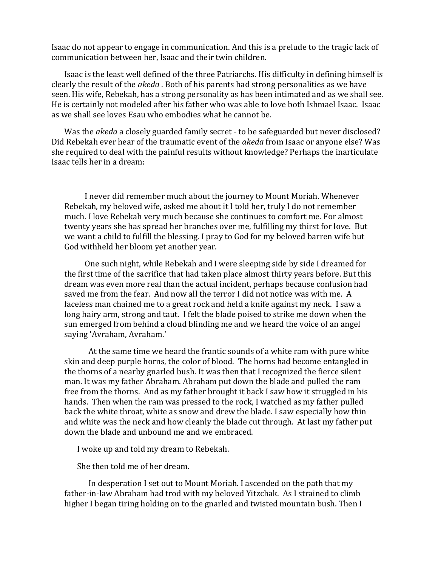Isaac do not appear to engage in communication. And this is a prelude to the tragic lack of communication between her, Isaac and their twin children.

Isaac is the least well defined of the three Patriarchs. His difficulty in defining himself is clearly the result of the *akeda* . Both of his parents had strong personalities as we have seen. His wife, Rebekah, has a strong personality as has been intimated and as we shall see. He is certainly not modeled after his father who was able to love both Ishmael Isaac. Isaac as we shall see loves Esau who embodies what he cannot be.

Was the *akeda* a closely guarded family secret - to be safeguarded but never disclosed? Did Rebekah ever hear of the traumatic event of the *akeda* from Isaac or anyone else? Was she required to deal with the painful results without knowledge? Perhaps the inarticulate Isaac tells her in a dream:

 I never did remember much about the journey to Mount Moriah. Whenever Rebekah, my beloved wife, asked me about it I told her, truly I do not remember much. I love Rebekah very much because she continues to comfort me. For almost twenty years she has spread her branches over me, fulfilling my thirst for love. But we want a child to fulfill the blessing. I pray to God for my beloved barren wife but God withheld her bloom yet another year.

 One such night, while Rebekah and I were sleeping side by side I dreamed for the first time of the sacrifice that had taken place almost thirty years before. But this dream was even more real than the actual incident, perhaps because confusion had saved me from the fear. And now all the terror I did not notice was with me. A faceless man chained me to a great rock and held a knife against my neck. I saw a long hairy arm, strong and taut. I felt the blade poised to strike me down when the sun emerged from behind a cloud blinding me and we heard the voice of an angel saying 'Avraham, Avraham.'

 At the same time we heard the frantic sounds of a white ram with pure white skin and deep purple horns, the color of blood. The horns had become entangled in the thorns of a nearby gnarled bush. It was then that I recognized the fierce silent man. It was my father Abraham. Abraham put down the blade and pulled the ram free from the thorns. And as my father brought it back I saw how it struggled in his hands. Then when the ram was pressed to the rock, I watched as my father pulled back the white throat, white as snow and drew the blade. I saw especially how thin and white was the neck and how cleanly the blade cut through. At last my father put down the blade and unbound me and we embraced.

I woke up and told my dream to Rebekah.

She then told me of her dream.

 In desperation I set out to Mount Moriah. I ascended on the path that my father-in-law Abraham had trod with my beloved Yitzchak. As I strained to climb higher I began tiring holding on to the gnarled and twisted mountain bush. Then I